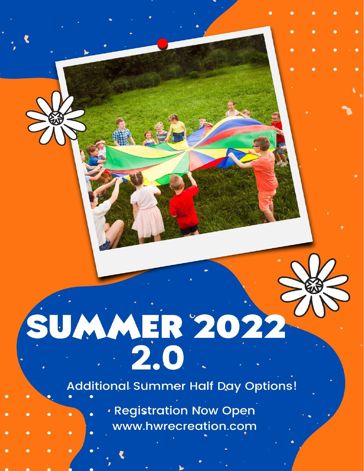# SUMMER 2022

**Additional Summer Half Day Options!** 

**Registration Now Open** www.hwrecreation.com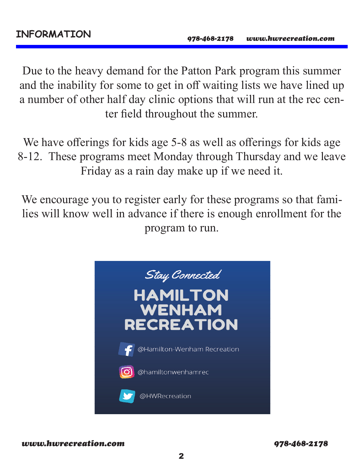Due to the heavy demand for the Patton Park program this summer and the inability for some to get in off waiting lists we have lined up a number of other half day clinic options that will run at the rec center field throughout the summer.

We have offerings for kids age 5-8 as well as offerings for kids age 8-12. These programs meet Monday through Thursday and we leave Friday as a rain day make up if we need it.

We encourage you to register early for these programs so that families will know well in advance if there is enough enrollment for the program to run.

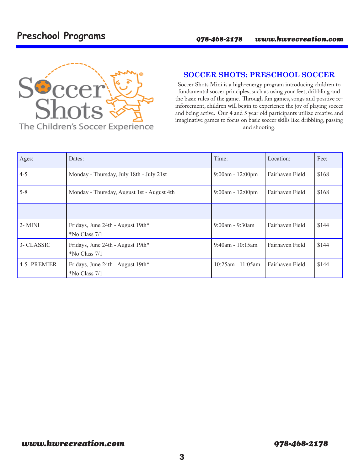### **Preschool Programs**



#### **SOCCER SHOTS: PRESCHOOL SOCCER**

Soccer Shots Mini is a high-energy program introducing children to fundamental soccer principles, such as using your feet, dribbling and the basic rules of the game. Through fun games, songs and positive reinforcement, children will begin to experience the joy of playing soccer and being active. Our 4 and 5 year old participants utilize creative and imaginative games to focus on basic soccer skills like dribbling, passing and shooting.

| Ages:        | Dates:                                             | Time:                 | Location:       | Fee:  |
|--------------|----------------------------------------------------|-----------------------|-----------------|-------|
| $4 - 5$      | Monday - Thursday, July 18th - July 21st           | $9:00am - 12:00pm$    | Fairhaven Field | \$168 |
| $5 - 8$      | Monday - Thursday, August 1st - August 4th         | $9:00am - 12:00pm$    | Fairhaven Field | \$168 |
|              |                                                    |                       |                 |       |
| $2 - MINI$   | Fridays, June 24th - August 19th*<br>*No Class 7/1 | $9:00$ am - $9:30$ am | Fairhaven Field | \$144 |
| 3- CLASSIC   | Fridays, June 24th - August 19th*<br>No Class 7/1  | $9:40$ am - 10:15am   | Fairhaven Field | \$144 |
| 4-5- PREMIER | Fridays, June 24th - August 19th*<br>No Class 7/1  | $10:25$ am - 11:05am  | Fairhaven Field | \$144 |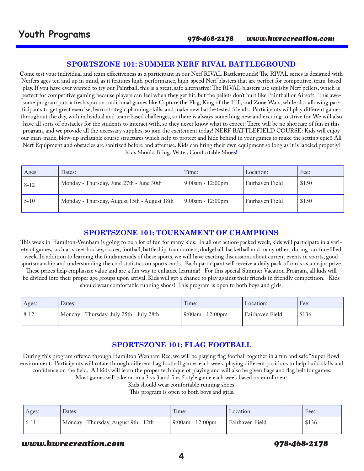#### **SPORTSZONE 101: SUMMER NERF RIVAL BATTLEGROUND**

Come test your individual and team effectiveness as a participant in our Nerf RIVAL Battlegrounds! The RIVAL series is designed with Nerfers ages ten and up in mind, as it features high-performance, high-speed Nerf blasters that are perfect for competitive, team-based play. If you have ever wanted to try out Paintball, this is a great, safe alternative! The RIVAL blasters use squishy Nerf pellets, which is perfect for competitive gaming because players can feel when they get hit, but the pellets don't hurt like Paintball or Airsoft. This awesome program puts a fresh spin on traditional games like Capture the Flag, King of the Hill, and Zone Wars, while also allowing participants to get great exercise, learn strategic planning skills, and make new battle-tested friends. Participants will play different games throughout the day, with individual and team-based challenges, so there is always something new and exciting to strive for. We will also have all sorts of obstacles for the students to interact with, so they never know what to expect! There will be no shortage of fun in this program, and we provide all the necessary supplies, so join the excitement today! NERF BATTLEFIELD COURSE: Kids will enjoy our man-made, blow-up inflatable course structures which help to protect and hide behind in your games to make the setting epic!! All Nerf Equipment and obstacles are sanitized before and after use. Kids can bring their own equipment so long as it is labeled properly! Kids Should Bring: Water, Comfortable Shoe**s!**

| Ages:    | Dates:                                       | Time:                  | Location:       | Fee:  |
|----------|----------------------------------------------|------------------------|-----------------|-------|
| $8 - 12$ | Monday - Thursday, June 27th - June 30th     | $9:00$ am - 12:00pm    | Fairhaven Field | \$150 |
| $5-10$   | Monday - Thursday, August 15th - August 18th | $9:00$ am - $12:00$ pm | Fairhaven Field | \$150 |

#### **SPORTSZONE 101: TOURNAMENT OF CHAMPIONS**

This week in Hamilton-Wenham is going to be a lot of fun for many kids. In all our action-packed week, kids will participate in a variety of games, such as street hockey, soccer, football, battleship, four corners, dodgeball, basketball and many others during our fun-filled week. In addition to learning the fundamentals of these sports, we will have exciting discussions about current events in sports, good sportsmanship and understanding the cool statistics on sports cards. Each participant will receive a daily pack of cards as a major prize. These prizes help emphasize value and are a fun way to enhance learning! For this special Summer Vacation Program, all kids will be divided into their proper age groups upon arrival. Kids will get a chance to play against their friends in friendly competition. Kids should wear comfortable running shoes! This program is open to both boys and girls.

| Ages:  | Dates:                                   | Time:              | Location:       | Fee:  |
|--------|------------------------------------------|--------------------|-----------------|-------|
| $8-12$ | Monday - Thursday, July 25th - July 28th | $9:00am - 12:00pm$ | Fairhaven Field | \$136 |

#### **SPORTSZONE 101: FLAG FOOTBALL**

During this program offered through Hamilton Wenham Rec, we will be playing flag football together in a fun and safe "Super Bowl" environment. Participants will rotate through different flag football games each week, playing different positions to help build skills and confidence on the field. All kids will learn the proper technique of playing and will also be given flags and flag belt for games.

Most games will take on in a 3 vs 3 and 5 vs 5 style game each week based on enrollment.

Kids should wear comfortable running shoes!

This program is open to both boys and girls.

| Ages:  | Dates:                               | Time:               | Location:       | Fee:  |
|--------|--------------------------------------|---------------------|-----------------|-------|
| $6-11$ | Monday - Thursday, August 9th - 12th | $9:00$ am - 12:00pm | Fairhaven Field | \$136 |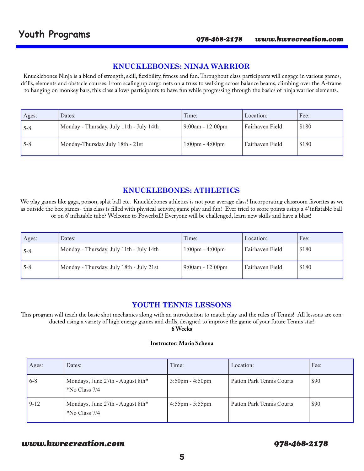#### **KNUCKLEBONES: NINJA WARRIOR**

Knucklebones Ninja is a blend of strength, skill, flexibility, fitness and fun. Throughout class participants will engage in various games, drills, elements and obstacle courses. From scaling up cargo nets on a truss to walking across balance beams, climbing over the A-frame to hanging on monkey bars, this class allows participants to have fun while progressing through the basics of ninja warrior elements.

| Ages:   | Dates:                                   | Time:                             | Location:       | Fee:  |
|---------|------------------------------------------|-----------------------------------|-----------------|-------|
| $5 - 8$ | Monday - Thursday, July 11th - July 14th | $9:00am - 12:00pm$                | Fairhaven Field | \$180 |
| $5 - 8$ | Monday-Thursday July 18th - 21st         | $1:00 \text{pm} - 4:00 \text{pm}$ | Fairhaven Field | \$180 |

#### **KNUCKLEBONES: ATHLETICS**

We play games like gaga, poison, splat ball etc. Knucklebones athletics is not your average class! Incorporating classroom favorites as we as outside the box games- this class is filled with physical activity, game play and fun! Ever tried to score points using a 4' inflatable ball or on 6' inflatable tube? Welcome to Powerball! Everyone will be challenged, learn new skills and have a blast!

| Ages:   | Dates:                                   | Time:                             | Location:       | Fee:  |
|---------|------------------------------------------|-----------------------------------|-----------------|-------|
| $5 - 8$ | Monday - Thursday. July 11th - July 14th | $1:00 \text{pm} - 4:00 \text{pm}$ | Fairhaven Field | \$180 |
| $5 - 8$ | Monday - Thursday, July 18th - July 21st | $9:00am - 12:00pm$                | Fairhaven Field | \$180 |

#### **YOUTH TENNIS LESSONS**

 This program will teach the basic shot mechanics along with an introduction to match play and the rules of Tennis! All lessons are conducted using a variety of high energy games and drills, designed to improve the game of your future Tennis star!

**6 Weeks**

#### **Instructor: Maria Schena**

| Ages:   | Dates:                                            | Time:                             | Location:                 | Fee: |
|---------|---------------------------------------------------|-----------------------------------|---------------------------|------|
| $6 - 8$ | Mondays, June 27th - August 8th*<br>*No Class 7/4 | $3:50 \text{pm} - 4:50 \text{pm}$ | Patton Park Tennis Courts | \$90 |
| $9-12$  | Mondays, June 27th - August 8th*<br>No Class 7/4  | $4:55$ pm - 5:55pm                | Patton Park Tennis Courts | \$90 |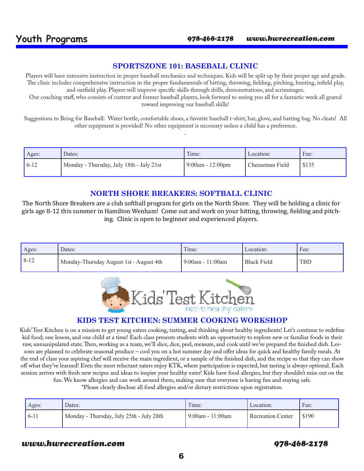#### **SPORTSZONE 101: BASEBALL CLINIC**

Players will have extensive instruction in proper baseball mechanics and techniques. Kids will be split up by their proper age and grade. The clinic includes comprehensive instruction in the proper fundamentals of hitting, throwing, fielding, pitching, bunting, infield play, and outfield play. Players will improve specific skills through drills, demonstrations, and scrimmages.

Our coaching staff, who consists of current and former baseball players, look forward to seeing you all for a fantastic week all geared toward improving our baseball skills!

Suggestions to Bring for Baseball: Water bottle, comfortable shoes, a favorite baseball t-shirt, hat, glove, and batting bag. No cleats! All other equipment is provided! No other equipment is necessary unless a child has a preference.

.

| Ages:  | Dates:                                   | Time:               | Location:       | Fee:  |
|--------|------------------------------------------|---------------------|-----------------|-------|
| $6-12$ | Monday - Thursday, July 18th - July 21st | $9:00$ am - 12:00pm | Cheeseman Field | \$135 |

#### **NORTH SHORE BREAKERS: SOFTBALL CLINIC**

The North Shore Breakers are a club softball program for girls on the North Shore. They will be holding a clinic for girls age 8-12 this summer in Hamilton Wenham! Come out and work on your hitting, throwing, fielding and pitching. Clinic is open to beginner and experienced players.

| Ages: | Dates:                                  | Time:            | Location:   | Fee:       |
|-------|-----------------------------------------|------------------|-------------|------------|
| 8-12  | Monday-Thursday August 1st - August 4th | 9:00am - 11:00am | Black Field | <b>TBD</b> |



#### **KIDS TEST KITCHEN: SUMMER COOKING WORKSHOP**

Kids' Test Kitchen is on a mission to get young eaters cooking, tasting, and thinking about healthy ingredients! Let's continue to redefine kid food; one lesson, and one child at a time! Each class presents students with an opportunity to explore new or familiar foods in their raw, unmanipulated state. Then, working as a team, we'll slice, dice, peel, measure, and cook until we've prepared the finished dish. Lessons are planned to celebrate seasonal produce – cool you on a hot summer day and offer ideas for quick and healthy family meals. At the end of class your aspiring chef will receive the main ingredient, or a sample of the finished dish, and the recipe so that they can show off what they've learned! Even the most reluctant eaters enjoy KTK, where participation is expected, but tasting is always optional. Each session arrives with fresh new recipes and ideas to inspire your healthy eater! Kids have food allergies, but they shouldn't miss out on the fun. We know allergies and can work around them, making sure that everyone is having fun and staying safe.

\*Please clearly disclose all food allergies and/or dietary restrictions upon registration.

| Ages:  | Dates:                                   | Time:              | Location:         | Fee:    |
|--------|------------------------------------------|--------------------|-------------------|---------|
| $6-11$ | Monday - Thursday, July 25th - July 28th | l 9:00am - 11:00am | Recreation Center | I \$190 |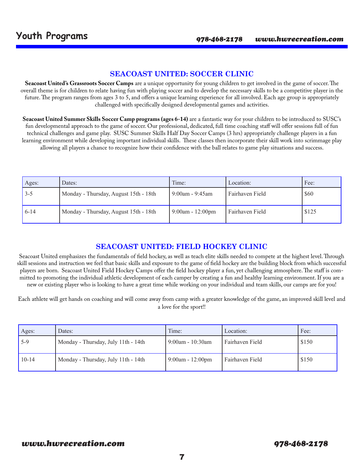#### **SEACOAST UNITED: SOCCER CLINIC**

**Seacoast United's Grassroots Soccer Camps** are a unique opportunity for young children to get involved in the game of soccer. The overall theme is for children to relate having fun with playing soccer and to develop the necessary skills to be a competitive player in the future. The program ranges from ages 3 to 5, and offers a unique learning experience for all involved. Each age group is appropriately challenged with specifically designed developmental games and activities.

**Seacoast United Summer Skills Soccer Camp programs (ages 6-14)** are a fantastic way for your children to be introduced to SUSC's fun developmental approach to the game of soccer. Our professional, dedicated, full time coaching staff will offer sessions full of fun technical challenges and game play. SUSC Summer Skills Half Day Soccer Camps (3 hrs) appropriately challenge players in a fun learning environment while developing important individual skills. These classes then incorporate their skill work into scrimmage play allowing all players a chance to recognize how their confidence with the ball relates to game play situations and success.

| Ages:   | Dates:                                | Time:                  | Location:       | Fee:  |
|---------|---------------------------------------|------------------------|-----------------|-------|
| $3 - 5$ | Monday - Thursday, August 15th - 18th | $9:00$ am - $9:45$ am  | Fairhaven Field | \$60  |
| $6-14$  | Monday - Thursday, August 15th - 18th | $9:00$ am - $12:00$ pm | Fairhaven Field | \$125 |

#### **SEACOAST UNITED: FIELD HOCKEY CLINIC**

Seacoast United emphasizes the fundamentals of field hockey, as well as teach elite skills needed to compete at the highest level. Through skill sessions and instruction we feel that basic skills and exposure to the game of field hockey are the building block from which successful players are born. Seacoast United Field Hockey Camps offer the field hockey player a fun, yet challenging atmosphere. The staff is committed to promoting the individual athletic development of each camper by creating a fun and healthy learning environment. If you are a new or existing player who is looking to have a great time while working on your individual and team skills, our camps are for you!

Each athlete will get hands on coaching and will come away from camp with a greater knowledge of the game, an improved skill level and a love for the sport!!

| Ages:   | Dates:                              | Time:               | Location:       | Fee:  |
|---------|-------------------------------------|---------------------|-----------------|-------|
| $15-9$  | Monday - Thursday, July 11th - 14th | $9:00$ am - 10:30am | Fairhaven Field | \$150 |
| $10-14$ | Monday - Thursday, July 11th - 14th | $9:00$ am - 12:00pm | Fairhaven Field | \$150 |